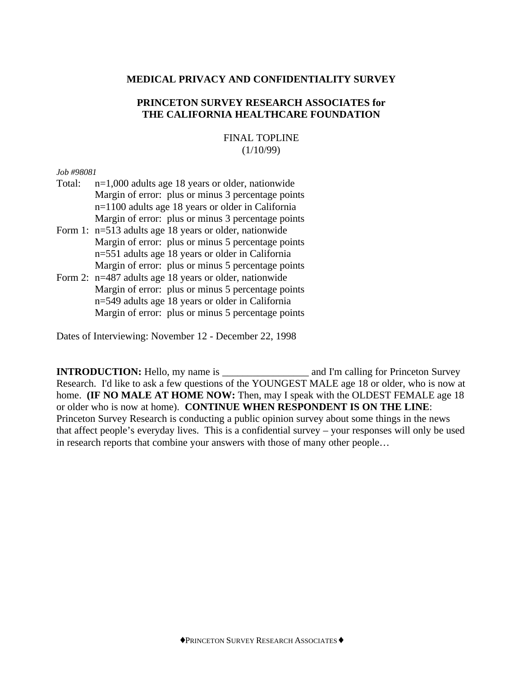## **MEDICAL PRIVACY AND CONFIDENTIALITY SURVEY**

### **PRINCETON SURVEY RESEARCH ASSOCIATES for THE CALIFORNIA HEALTHCARE FOUNDATION**

### FINAL TOPLINE  $(1/10/99)$

#### *Job #98081*

- Total: n=1,000 adults age 18 years or older, nationwide Margin of error: plus or minus 3 percentage points n=1100 adults age 18 years or older in California Margin of error: plus or minus 3 percentage points
- Form 1: n=513 adults age 18 years or older, nationwide Margin of error: plus or minus 5 percentage points n=551 adults age 18 years or older in California Margin of error: plus or minus 5 percentage points
- Form 2: n=487 adults age 18 years or older, nationwide Margin of error: plus or minus 5 percentage points n=549 adults age 18 years or older in California Margin of error: plus or minus 5 percentage points

Dates of Interviewing: November 12 - December 22, 1998

**INTRODUCTION:** Hello, my name is \_\_\_\_\_\_\_\_\_\_\_\_\_\_\_\_\_\_\_\_\_\_\_ and I'm calling for Princeton Survey Research. I'd like to ask a few questions of the YOUNGEST MALE age 18 or older, who is now at home. **(IF NO MALE AT HOME NOW:** Then, may I speak with the OLDEST FEMALE age 18 or older who is now at home). **CONTINUE WHEN RESPONDENT IS ON THE LINE**: Princeton Survey Research is conducting a public opinion survey about some things in the news that affect people's everyday lives. This is a confidential survey – your responses will only be used in research reports that combine your answers with those of many other people…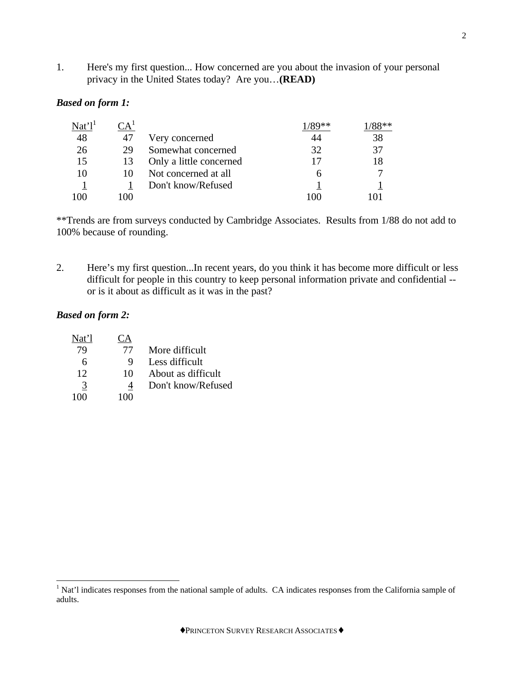1. Here's my first question... How concerned are you about the invasion of your personal privacy in the United States today? Are you…**(READ)**

### *Based on form 1:*

| Nat'1' | $\mathbb{C}\mathsf{A}^*$ |                         |     |    |
|--------|--------------------------|-------------------------|-----|----|
| 48     | 47                       | Very concerned          | 44  | 38 |
| 26     | 29                       | Somewhat concerned      | 32  | 37 |
| 15     | 13                       | Only a little concerned |     | 18 |
| 10     |                          | Not concerned at all    |     |    |
|        |                          | Don't know/Refused      |     |    |
| 100    | LOO                      |                         | 100 |    |

\*\*Trends are from surveys conducted by Cambridge Associates. Results from 1/88 do not add to 100% because of rounding.

2. Here's my first question...In recent years, do you think it has become more difficult or less difficult for people in this country to keep personal information private and confidential - or is it about as difficult as it was in the past?

## *Based on form 2:*

| Nat'l | CА  |                    |
|-------|-----|--------------------|
| 79    | 77  | More difficult     |
| 6     | 9   | Less difficult     |
| 12    | 10  | About as difficult |
| 3     | 4   | Don't know/Refused |
| 100   | 100 |                    |

<sup>&</sup>lt;sup>1</sup> Nat'l indicates responses from the national sample of adults. CA indicates responses from the California sample of adults.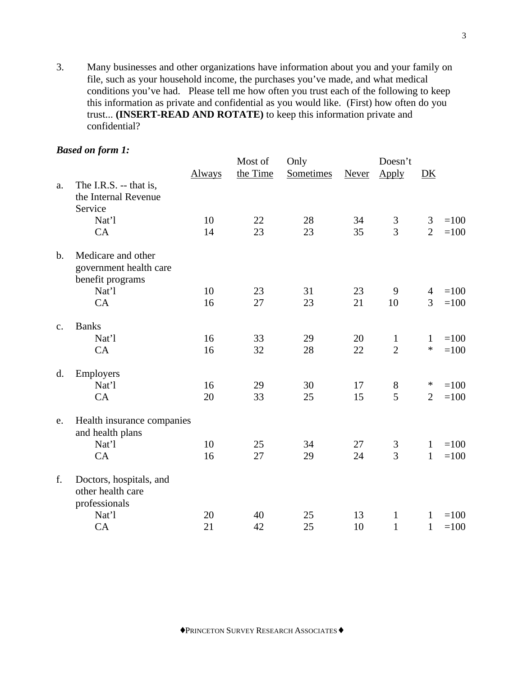3. Many businesses and other organizations have information about you and your family on file, such as your household income, the purchases you've made, and what medical conditions you've had. Please tell me how often you trust each of the following to keep this information as private and confidential as you would like. (First) how often do you trust... **(INSERT-READ AND ROTATE)** to keep this information private and confidential?

### *Based on form 1:*

|               | Duscu on jorm 1.           |               | Most of  | Only      |              | Doesn't        |                |        |
|---------------|----------------------------|---------------|----------|-----------|--------------|----------------|----------------|--------|
|               |                            | <b>Always</b> | the Time | Sometimes | <b>Never</b> | Apply          | DK             |        |
| a.            | The I.R.S. -- that is,     |               |          |           |              |                |                |        |
|               | the Internal Revenue       |               |          |           |              |                |                |        |
|               | Service                    |               |          |           |              |                |                |        |
|               | Nat'l                      | 10            | 22       | 28        | 34           | 3              | 3              | $=100$ |
|               | CA                         | 14            | 23       | 23        | 35           | 3              | $\overline{2}$ | $=100$ |
| $\mathbf b$ . | Medicare and other         |               |          |           |              |                |                |        |
|               | government health care     |               |          |           |              |                |                |        |
|               | benefit programs           |               |          |           |              |                |                |        |
|               | Nat'l                      | 10            | 23       | 31        | 23           | 9              | $\overline{4}$ | $=100$ |
|               | CA                         | 16            | 27       | 23        | 21           | 10             | 3              | $=100$ |
| $C_{\bullet}$ | <b>Banks</b>               |               |          |           |              |                |                |        |
|               | Nat'l                      | 16            | 33       | 29        | 20           | $\mathbf{1}$   | $\mathbf{1}$   | $=100$ |
|               | CA                         | 16            | 32       | 28        | 22           | $\overline{2}$ | $\ast$         | $=100$ |
| d.            | Employers                  |               |          |           |              |                |                |        |
|               | Nat'l                      | 16            | 29       | 30        | 17           | $8\,$          | $\ast$         | $=100$ |
|               | CA                         | 20            | 33       | 25        | 15           | 5              | $\overline{2}$ | $=100$ |
| e.            | Health insurance companies |               |          |           |              |                |                |        |
|               | and health plans           |               |          |           |              |                |                |        |
|               | Nat'l                      | 10            | 25       | 34        | 27           | 3              | $\mathbf{1}$   | $=100$ |
|               | CA                         | 16            | 27       | 29        | 24           | 3              | $\mathbf{1}$   | $=100$ |
| f.            | Doctors, hospitals, and    |               |          |           |              |                |                |        |
|               | other health care          |               |          |           |              |                |                |        |
|               | professionals              |               |          |           |              |                |                |        |
|               | Nat'l                      | 20            | 40       | 25        | 13           | $\mathbf{1}$   | $\mathbf{1}$   | $=100$ |
|               | CA                         | 21            | 42       | 25        | 10           | $\mathbf{1}$   | $\mathbf{1}$   | $=100$ |

♦PRINCETON SURVEY RESEARCH ASSOCIATES♦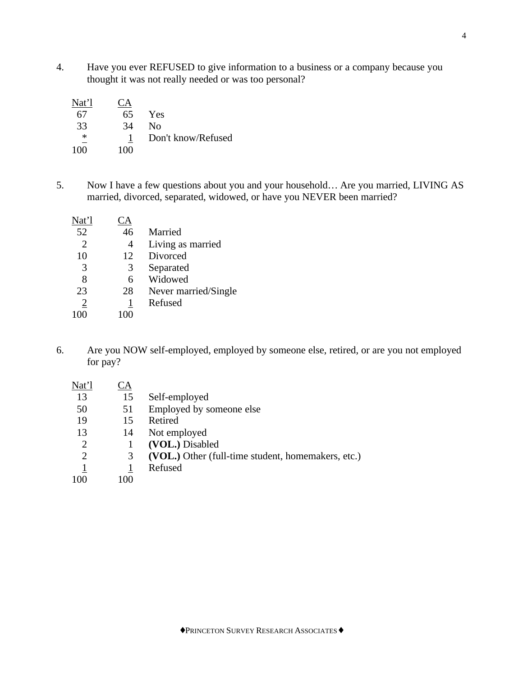4. Have you ever REFUSED to give information to a business or a company because you thought it was not really needed or was too personal?

| Nat'l  | <b>CA</b> |                    |
|--------|-----------|--------------------|
| 67     | 65        | Yes                |
| 33     | 34        | No                 |
| $\ast$ |           | Don't know/Refused |
| 100    | 100       |                    |

5. Now I have a few questions about you and your household… Are you married, LIVING AS married, divorced, separated, widowed, or have you NEVER been married?

| Nat'l          | <u>'A</u>    |                      |
|----------------|--------------|----------------------|
| 52             | 46           | Married              |
| $\overline{2}$ | 4            | Living as married    |
| 10             | 12           | Divorced             |
| 3              | 3            | Separated            |
| 8              | 6            | Widowed              |
| 23             | 28           | Never married/Single |
| 2              | $\mathbf{1}$ | Refused              |
|                | 100          |                      |

6. Are you NOW self-employed, employed by someone else, retired, or are you not employed for pay?

| Nat'l                 | ĽΑ |                                                    |
|-----------------------|----|----------------------------------------------------|
| 13                    | 15 | Self-employed                                      |
| 50                    | 51 | Employed by someone else                           |
| 19                    | 15 | Retired                                            |
| 13                    | 14 | Not employed                                       |
| 2                     |    | (VOL.) Disabled                                    |
| $\mathcal{D}_{\cdot}$ | 3  | (VOL.) Other (full-time student, homemakers, etc.) |
|                       |    | Refused                                            |

100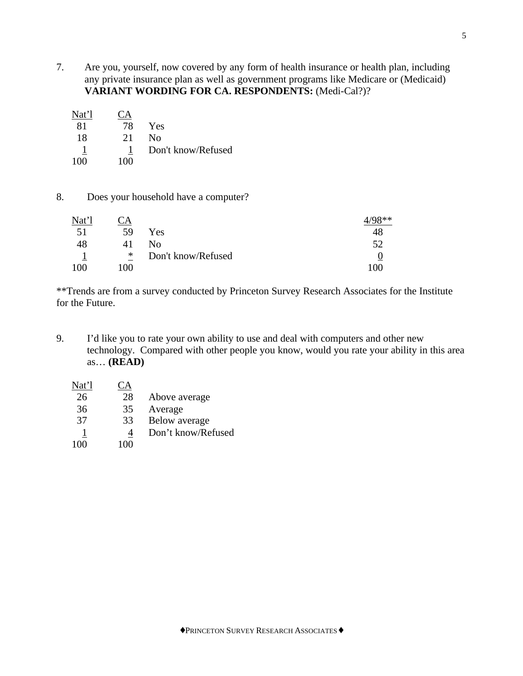- 7. Are you, yourself, now covered by any form of health insurance or health plan, including any private insurance plan as well as government programs like Medicare or (Medicaid) **VARIANT WORDING FOR CA. RESPONDENTS:** (Medi-Cal?)?
	- Nat'l CA 81 78 Yes 18 21 No 1 1 Don't know/Refused 100 100

## 8. Does your household have a computer?

| Nat'l | CA  |                    | $Q$ ** |
|-------|-----|--------------------|--------|
| 51    | 59  | Yes                | 48     |
| 48    | 41  | Nο                 |        |
|       | *   | Don't know/Refused |        |
| 100   | 100 |                    | 100    |

\*\*Trends are from a survey conducted by Princeton Survey Research Associates for the Institute for the Future.

- 9. I'd like you to rate your own ability to use and deal with computers and other new technology. Compared with other people you know, would you rate your ability in this area as… **(READ)**
	- Nat'l CA 26 28 Above average 36 35 Average 37 33 Below average 1 4 Don't know/Refused 100 100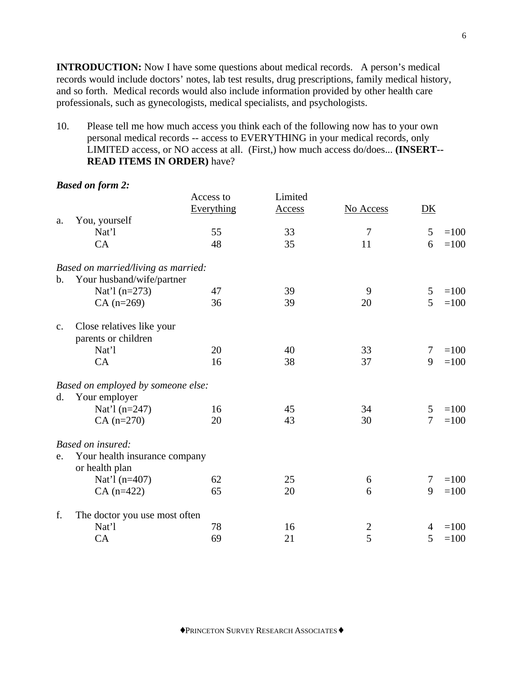**INTRODUCTION:** Now I have some questions about medical records. A person's medical records would include doctors' notes, lab test results, drug prescriptions, family medical history, and so forth. Medical records would also include information provided by other health care professionals, such as gynecologists, medical specialists, and psychologists.

10. Please tell me how much access you think each of the following now has to your own personal medical records -- access to EVERYTHING in your medical records, only LIMITED access, or NO access at all. (First,) how much access do/does... **(INSERT-- READ ITEMS IN ORDER)** have?

*Based on form 2:*

|                |                                                 | Access to<br>Everything | Limited<br><b>Access</b> | No Access      | DK             |        |
|----------------|-------------------------------------------------|-------------------------|--------------------------|----------------|----------------|--------|
| a.             | You, yourself                                   |                         |                          |                |                |        |
|                | Nat'l                                           | 55                      | 33                       | 7              | 5              | $=100$ |
|                | CA                                              | 48                      | 35                       | 11             | 6              | $=100$ |
|                | Based on married/living as married:             |                         |                          |                |                |        |
| $\mathbf{b}$ . | Your husband/wife/partner                       |                         |                          |                |                |        |
|                | Nat'l $(n=273)$                                 | 47                      | 39                       | 9              | 5              | $=100$ |
|                | $CA (n=269)$                                    | 36                      | 39                       | 20             | 5              | $=100$ |
| c.             | Close relatives like your                       |                         |                          |                |                |        |
|                | parents or children                             |                         |                          |                |                |        |
|                | Nat'l                                           | 20                      | 40                       | 33             | $\overline{7}$ | $=100$ |
|                | CA                                              | 16                      | 38                       | 37             | 9              | $=100$ |
|                | Based on employed by someone else:              |                         |                          |                |                |        |
| d.             | Your employer                                   |                         |                          |                |                |        |
|                | Nat'l $(n=247)$                                 | 16                      | 45                       | 34             | 5              | $=100$ |
|                | $CA (n=270)$                                    | 20                      | 43                       | 30             | $\overline{7}$ | $=100$ |
|                | Based on insured:                               |                         |                          |                |                |        |
| e.             | Your health insurance company<br>or health plan |                         |                          |                |                |        |
|                | Nat'l (n=407)                                   | 62                      | 25                       | 6              | 7              | $=100$ |
|                | $CA (n=422)$                                    | 65                      | 20                       | 6              | 9              | $=100$ |
| f.             | The doctor you use most often                   |                         |                          |                |                |        |
|                | Nat'l                                           | 78                      | 16                       | $\overline{c}$ | $\overline{4}$ | $=100$ |
|                | CA                                              | 69                      | 21                       | $\overline{5}$ | 5              | $=100$ |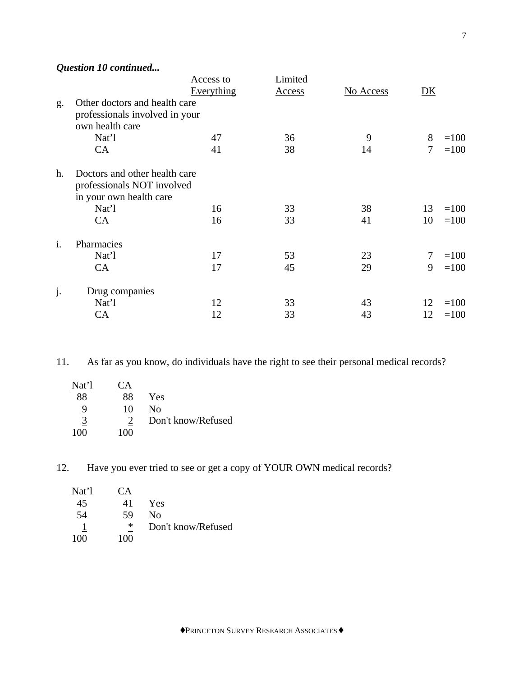*Question 10 continued...*

|                |                                                                                                 | Access to  | Limited       |           |        |        |
|----------------|-------------------------------------------------------------------------------------------------|------------|---------------|-----------|--------|--------|
|                |                                                                                                 | Everything | <b>Access</b> | No Access | DK     |        |
| g.             | Other doctors and health care<br>professionals involved in your<br>own health care              |            |               |           |        |        |
|                | Nat'l                                                                                           | 47         | 36            | 9         | 8      | $=100$ |
|                | CA                                                                                              | 41         | 38            | 14        | 7      | $=100$ |
| h.             | Doctors and other health care<br>professionals NOT involved<br>in your own health care<br>Nat'l | 16         | 33            | 38        | 13     | $=100$ |
|                | CA                                                                                              | 16         | 33            | 41        | 10     | $=100$ |
| $\mathbf{i}$ . | Pharmacies                                                                                      |            |               |           |        |        |
|                | Nat'l                                                                                           | 17         | 53            | 23        | $\tau$ | $=100$ |
|                | CA                                                                                              | 17         | 45            | 29        | 9      | $=100$ |
| j.             | Drug companies                                                                                  |            |               |           |        |        |
|                | Nat'l                                                                                           | 12         | 33            | 43        | 12     | $=100$ |
|                | CA                                                                                              | 12         | 33            | 43        | 12     | $=100$ |

11. As far as you know, do individuals have the right to see their personal medical records?

| Nat'l | А   |                    |
|-------|-----|--------------------|
| 88    | 88  | Yes                |
| Q     | 10  | Nο                 |
| 3     |     | Don't know/Refused |
| 100   | 100 |                    |

12. Have you ever tried to see or get a copy of YOUR OWN medical records?

| Nat'l |     |                    |
|-------|-----|--------------------|
| 45    | 41  | Yes                |
| 54    | 59  | Nο                 |
|       | ∗   | Don't know/Refused |
| 100   | 100 |                    |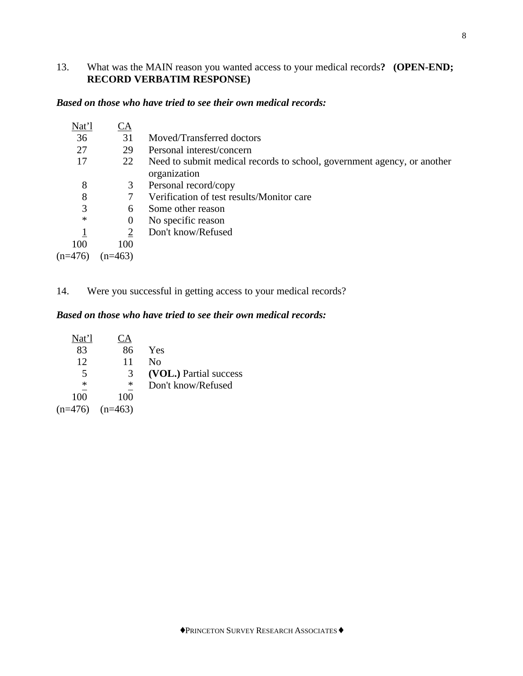# 13. What was the MAIN reason you wanted access to your medical records**? (OPEN-END; RECORD VERBATIM RESPONSE)**

## *Based on those who have tried to see their own medical records:*

| Nat'l     | CA        |                                                                         |
|-----------|-----------|-------------------------------------------------------------------------|
| 36        | 31        | Moved/Transferred doctors                                               |
| 27        | 29        | Personal interest/concern                                               |
| 17        | 22        | Need to submit medical records to school, government agency, or another |
|           |           | organization                                                            |
| 8         | 3         | Personal record/copy                                                    |
| 8         |           | Verification of test results/Monitor care                               |
| 3         | 6         | Some other reason                                                       |
| $\ast$    | $\theta$  | No specific reason                                                      |
|           |           | Don't know/Refused                                                      |
| 100       | 100       |                                                                         |
| $(n=476)$ | $(n=463)$ |                                                                         |

14. Were you successful in getting access to your medical records?

# *Based on those who have tried to see their own medical records:*

| Nat'l     | СA        |                        |
|-----------|-----------|------------------------|
| 83        | 86        | Yes                    |
| 12        | 11        | Nο                     |
| 5         | 3         | (VOL.) Partial success |
| ∗         | ∗         | Don't know/Refused     |
| 100       | 100       |                        |
| $(n=476)$ | $(n=463)$ |                        |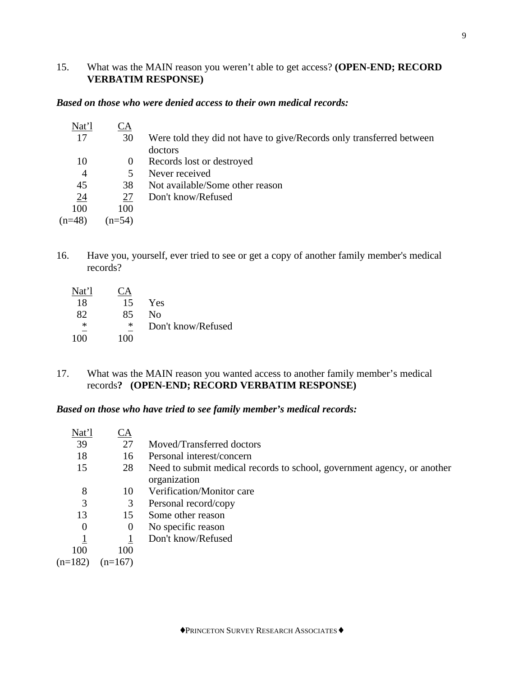# 15. What was the MAIN reason you weren't able to get access? **(OPEN-END; RECORD VERBATIM RESPONSE)**

### *Based on those who were denied access to their own medical records:*

| Nat'l          | СA                      |                                                                      |
|----------------|-------------------------|----------------------------------------------------------------------|
| 17             | 30                      | Were told they did not have to give/Records only transferred between |
|                |                         | doctors                                                              |
| 10             | $\theta$                | Records lost or destroyed                                            |
| $\overline{4}$ | $\overline{\mathbf{5}}$ | Never received                                                       |
| 45             | 38                      | Not available/Some other reason                                      |
| <u>24</u>      | 27                      | Don't know/Refused                                                   |
| 100            | 100                     |                                                                      |
| $(n=48)$       | $(n=54)$                |                                                                      |
|                |                         |                                                                      |

16. Have you, yourself, ever tried to see or get a copy of another family member's medical records?

| Nat'l  |     |                    |
|--------|-----|--------------------|
| 18     | 15  | Yes                |
| 82     | 85  | Nο                 |
| $\ast$ | ∗   | Don't know/Refused |
| 100    | 100 |                    |

17. What was the MAIN reason you wanted access to another family member's medical records**? (OPEN-END; RECORD VERBATIM RESPONSE)**

#### *Based on those who have tried to see family member's medical records:*

| Nat'l     | СA        |                                                                                         |
|-----------|-----------|-----------------------------------------------------------------------------------------|
| 39        | 27        | Moved/Transferred doctors                                                               |
| 18        | 16        | Personal interest/concern                                                               |
| 15        | 28        | Need to submit medical records to school, government agency, or another<br>organization |
| 8         | 10        | Verification/Monitor care                                                               |
| 3         | 3         | Personal record/copy                                                                    |
| 13        | 15        | Some other reason                                                                       |
| $\Omega$  | $\theta$  | No specific reason                                                                      |
|           |           | Don't know/Refused                                                                      |
| 100       | 100       |                                                                                         |
| $(n=182)$ | $(n=167)$ |                                                                                         |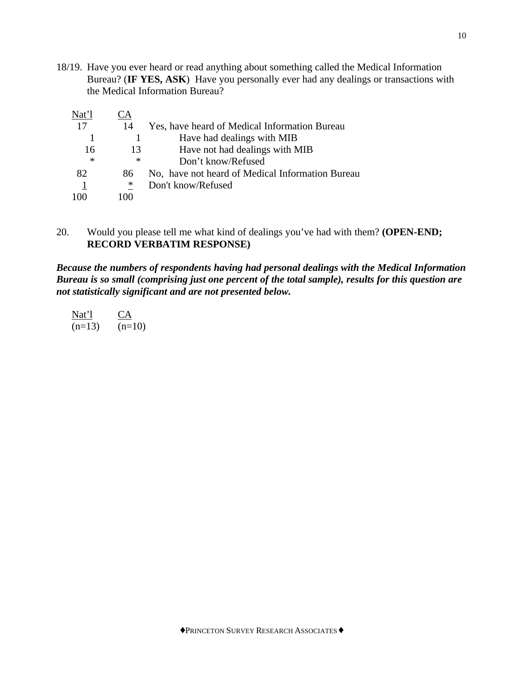18/19. Have you ever heard or read anything about something called the Medical Information Bureau? (**IF YES, ASK**) Have you personally ever had any dealings or transactions with the Medical Information Bureau?

| Nat'l  | A         |                                                  |
|--------|-----------|--------------------------------------------------|
| 17     | 14        | Yes, have heard of Medical Information Bureau    |
|        |           | Have had dealings with MIB                       |
| 16     | 13        | Have not had dealings with MIB                   |
| $\ast$ | ∗         | Don't know/Refused                               |
| 82     | 86        | No, have not heard of Medical Information Bureau |
|        | ∗         | Don't know/Refused                               |
|        | 1 ( ) ( ) |                                                  |

# 20. Would you please tell me what kind of dealings you've had with them? **(OPEN-END; RECORD VERBATIM RESPONSE)**

*Because the numbers of respondents having had personal dealings with the Medical Information Bureau is so small (comprising just one percent of the total sample), results for this question are not statistically significant and are not presented below.*

| Nat'l    | $\mathsf{C}$ |
|----------|--------------|
| $(n=13)$ | $(n=10)$     |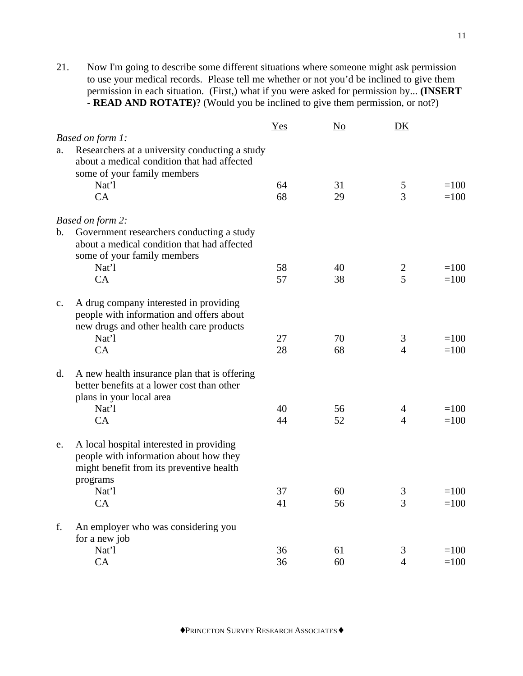21. Now I'm going to describe some different situations where someone might ask permission to use your medical records. Please tell me whether or not you'd be inclined to give them permission in each situation. (First,) what if you were asked for permission by... **(INSERT - READ AND ROTATE)**? (Would you be inclined to give them permission, or not?)

|                                                                                                                                                  | <u>Yes</u> | $\underline{\mathrm{No}}$ | DK             |        |
|--------------------------------------------------------------------------------------------------------------------------------------------------|------------|---------------------------|----------------|--------|
| Based on form 1:                                                                                                                                 |            |                           |                |        |
| Researchers at a university conducting a study<br>a.<br>about a medical condition that had affected<br>some of your family members               |            |                           |                |        |
| Nat'l                                                                                                                                            | 64         | 31                        | 5              | $=100$ |
| CA                                                                                                                                               | 68         | 29                        | 3              | $=100$ |
| Based on form 2:                                                                                                                                 |            |                           |                |        |
| Government researchers conducting a study<br>b.<br>about a medical condition that had affected<br>some of your family members                    |            |                           |                |        |
| Nat'l                                                                                                                                            | 58         | 40                        | $\overline{2}$ | $=100$ |
| CA                                                                                                                                               | 57         | 38                        | 5              | $=100$ |
| A drug company interested in providing<br>$\mathbf{c}$ .<br>people with information and offers about<br>new drugs and other health care products |            |                           |                |        |
| Nat'l                                                                                                                                            | 27         | 70                        | 3              | $=100$ |
| CA                                                                                                                                               | 28         | 68                        | $\overline{4}$ | $=100$ |
| A new health insurance plan that is offering<br>$d_{\cdot}$<br>better benefits at a lower cost than other<br>plans in your local area            |            |                           |                |        |
| Nat'l                                                                                                                                            | 40         | 56                        | $\overline{4}$ | $=100$ |
| CA                                                                                                                                               | 44         | 52                        | $\overline{4}$ | $=100$ |
| A local hospital interested in providing<br>e.<br>people with information about how they<br>might benefit from its preventive health<br>programs |            |                           |                |        |
| Nat'l                                                                                                                                            | 37         | 60                        | 3              | $=100$ |
| <b>CA</b>                                                                                                                                        | 41         | 56                        | 3              | $=100$ |
| f.<br>An employer who was considering you<br>for a new job                                                                                       |            |                           |                |        |
| Nat'l                                                                                                                                            | 36         | 61                        | 3              | $=100$ |
| CA                                                                                                                                               | 36         | 60                        | $\overline{4}$ | $=100$ |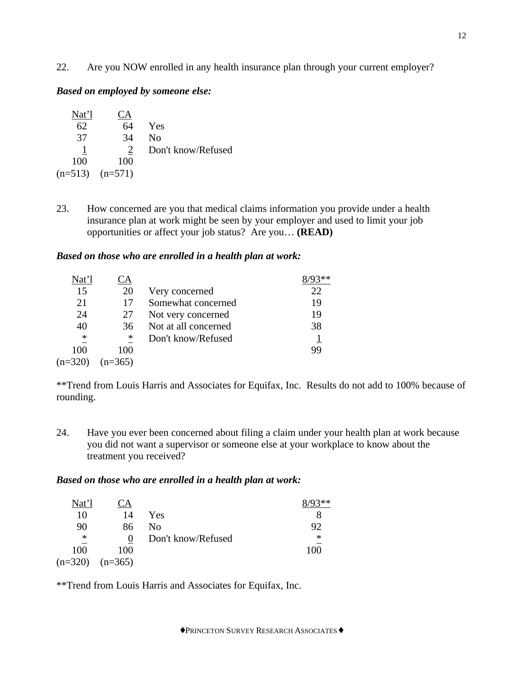22. Are you NOW enrolled in any health insurance plan through your current employer?

## *Based on employed by someone else:*

| Nat'l     | CА        |                    |
|-----------|-----------|--------------------|
| 62        | 64        | Yes                |
| 37        | 34        | No                 |
|           |           | Don't know/Refused |
| 100       | 100       |                    |
| $(n=513)$ | $(n=571)$ |                    |

23. How concerned are you that medical claims information you provide under a health insurance plan at work might be seen by your employer and used to limit your job opportunities or affect your job status? Are you… **(READ)**

## *Based on those who are enrolled in a health plan at work:*

| Nat'l     |           |                      |    |
|-----------|-----------|----------------------|----|
| 15        | 20        | Very concerned       | 22 |
| 21        | 17        | Somewhat concerned   | 19 |
| 24        | 27        | Not very concerned   | 19 |
| 40        | 36        | Not at all concerned | 38 |
| $\ast$    | ∗         | Don't know/Refused   |    |
| 100       | 100       |                      | 99 |
| $(n=320)$ | $(n=365)$ |                      |    |

\*\*Trend from Louis Harris and Associates for Equifax, Inc. Results do not add to 100% because of rounding.

24. Have you ever been concerned about filing a claim under your health plan at work because you did not want a supervisor or someone else at your workplace to know about the treatment you received?

#### *Based on those who are enrolled in a health plan at work:*

| Nat'l     | A         |                    | ?** |
|-----------|-----------|--------------------|-----|
| 10        | 14        | Yes                |     |
| 90        | 86        | No                 | 92  |
| ∗         | 0         | Don't know/Refused | ∗   |
| 100       | 100       |                    | 100 |
| $(n=320)$ | $(n=365)$ |                    |     |

\*\*Trend from Louis Harris and Associates for Equifax, Inc.

♦PRINCETON SURVEY RESEARCH ASSOCIATES♦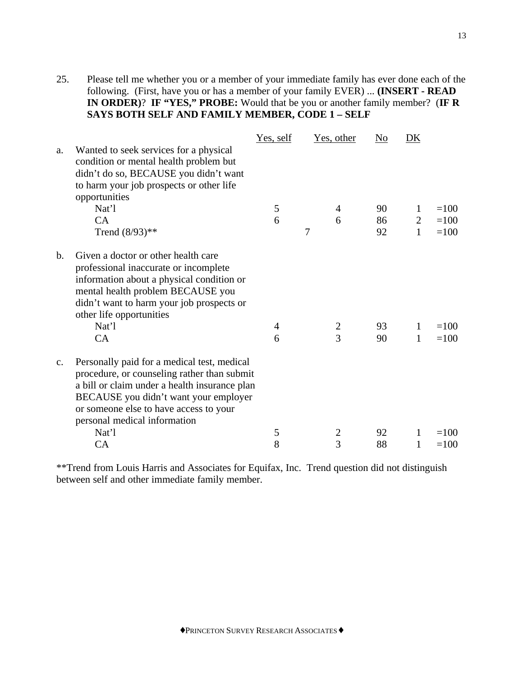25. Please tell me whether you or a member of your immediate family has ever done each of the following. (First, have you or has a member of your family EVER) ... **(INSERT - READ IN ORDER)**? **IF "YES," PROBE:** Would that be you or another family member? (**IF R SAYS BOTH SELF AND FAMILY MEMBER, CODE 1 – SELF**

|               |                                               | Yes, self |   | Yes, other     | N <sub>o</sub> | DK             |        |
|---------------|-----------------------------------------------|-----------|---|----------------|----------------|----------------|--------|
| a.            | Wanted to seek services for a physical        |           |   |                |                |                |        |
|               | condition or mental health problem but        |           |   |                |                |                |        |
|               | didn't do so, BECAUSE you didn't want         |           |   |                |                |                |        |
|               | to harm your job prospects or other life      |           |   |                |                |                |        |
|               | opportunities                                 |           |   |                |                |                |        |
|               | Nat'l                                         | 5         |   | 4              | 90             | 1              | $=100$ |
|               | CA                                            | 6         |   | 6              | 86             | $\overline{2}$ | $=100$ |
|               | Trend $(8/93)**$                              |           | 7 |                | 92             | $\mathbf{1}$   | $=100$ |
| $\mathbf b$ . | Given a doctor or other health care           |           |   |                |                |                |        |
|               | professional inaccurate or incomplete         |           |   |                |                |                |        |
|               | information about a physical condition or     |           |   |                |                |                |        |
|               | mental health problem BECAUSE you             |           |   |                |                |                |        |
|               | didn't want to harm your job prospects or     |           |   |                |                |                |        |
|               | other life opportunities                      |           |   |                |                |                |        |
|               | Nat'l                                         | 4         |   | $\overline{2}$ | 93             | 1              | $=100$ |
|               | CA                                            | 6         |   | $\overline{3}$ | 90             | $\mathbf{1}$   | $=100$ |
| c.            | Personally paid for a medical test, medical   |           |   |                |                |                |        |
|               | procedure, or counseling rather than submit   |           |   |                |                |                |        |
|               | a bill or claim under a health insurance plan |           |   |                |                |                |        |
|               | BECAUSE you didn't want your employer         |           |   |                |                |                |        |
|               | or someone else to have access to your        |           |   |                |                |                |        |
|               | personal medical information                  |           |   |                |                |                |        |
|               | Nat'l                                         | 5         |   | $\overline{2}$ | 92             | 1              | $=100$ |
|               | CA                                            | 8         |   | 3              | 88             | 1              | $=100$ |

\*\*Trend from Louis Harris and Associates for Equifax, Inc. Trend question did not distinguish between self and other immediate family member.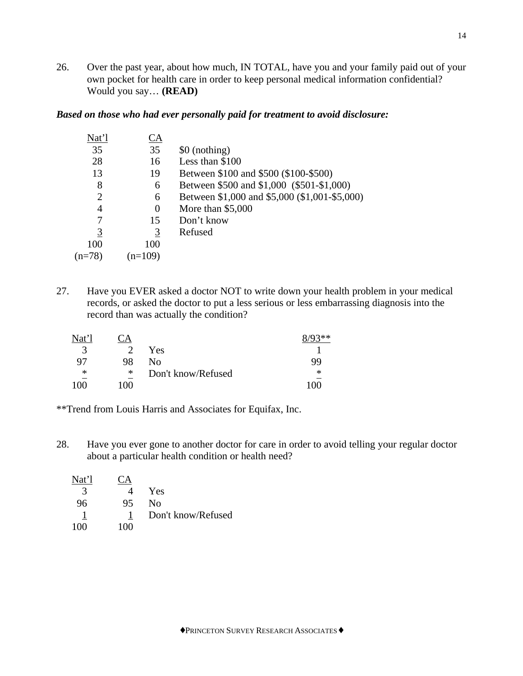26. Over the past year, about how much, IN TOTAL, have you and your family paid out of your own pocket for health care in order to keep personal medical information confidential? Would you say… **(READ)**

## *Based on those who had ever personally paid for treatment to avoid disclosure:*

| Nat'l          | CA        |                                               |
|----------------|-----------|-----------------------------------------------|
| 35             | 35        | \$0 (nothing)                                 |
| 28             | 16        | Less than \$100                               |
| 13             | 19        | Between \$100 and \$500 (\$100-\$500)         |
| 8              | 6         | Between \$500 and \$1,000 (\$501-\$1,000)     |
| 2              | 6         | Between \$1,000 and \$5,000 (\$1,001-\$5,000) |
| 4              | $\theta$  | More than $$5,000$                            |
| 7              | 15        | Don't know                                    |
| $\overline{3}$ | 3         | Refused                                       |
| 100            | 100       |                                               |
| $(n=78)$       | $n = 109$ |                                               |
|                |           |                                               |

27. Have you EVER asked a doctor NOT to write down your health problem in your medical records, or asked the doctor to put a less serious or less embarrassing diagnosis into the record than was actually the condition?

| Nat'l | A   |                    | ′0?∗∗  |
|-------|-----|--------------------|--------|
| 3     |     | Yes                |        |
| 97    | 98  | Nο                 | 99     |
| ∗     | ∗   | Don't know/Refused | $\ast$ |
| 100   | 100 |                    | 100    |

\*\*Trend from Louis Harris and Associates for Equifax, Inc.

28. Have you ever gone to another doctor for care in order to avoid telling your regular doctor about a particular health condition or health need?

| Nat'l         | $\Delta$ |                    |
|---------------|----------|--------------------|
| $\mathcal{R}$ |          | Yes                |
| 96            | 95       | Nο                 |
|               |          | Don't know/Refused |
| 100           | 100      |                    |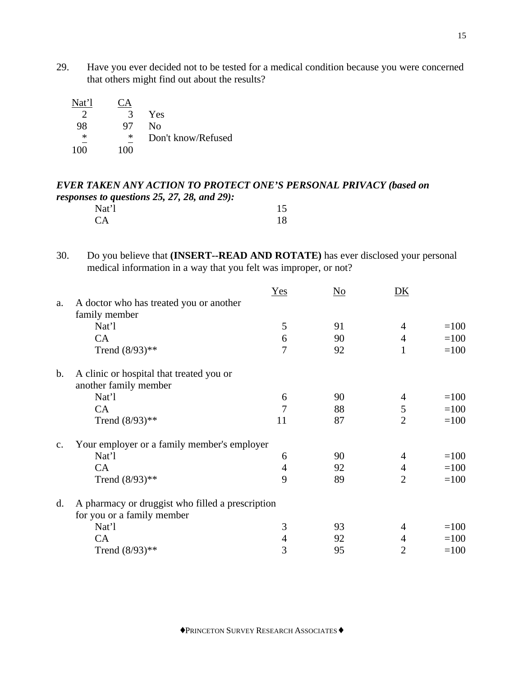29. Have you ever decided not to be tested for a medical condition because you were concerned that others might find out about the results?

| Nat'l  | `A  |                    |
|--------|-----|--------------------|
| 2      | 3   | Yes                |
| 98     | 97  | No                 |
| $\ast$ | ∗   | Don't know/Refused |
| 100    | 100 |                    |

# *EVER TAKEN ANY ACTION TO PROTECT ONE'S PERSONAL PRIVACY (based on responses to questions 25, 27, 28, and 29):*  Nat'l 15

| Nat 1     | 12 |
|-----------|----|
| <b>CA</b> | 18 |

30. Do you believe that **(INSERT--READ AND ROTATE)** has ever disclosed your personal medical information in a way that you felt was improper, or not?

|                |                                                  | Yes | N <sub>0</sub> | <u>DK</u>      |        |
|----------------|--------------------------------------------------|-----|----------------|----------------|--------|
| a.             | A doctor who has treated you or another          |     |                |                |        |
|                | family member                                    |     |                |                |        |
|                | Nat'l                                            | 5   | 91             | 4              | $=100$ |
|                | CA                                               | 6   | 90             | $\overline{4}$ | $=100$ |
|                | Trend $(8/93)**$                                 | 7   | 92             | 1              | $=100$ |
| $\mathbf{b}$ . | A clinic or hospital that treated you or         |     |                |                |        |
|                | another family member                            |     |                |                |        |
|                | Nat'l                                            | 6   | 90             | 4              | $=100$ |
|                | CA                                               | 7   | 88             | 5              | $=100$ |
|                | Trend $(8/93)**$                                 | 11  | 87             | $\overline{2}$ | $=100$ |
| $\mathbf{c}$ . | Your employer or a family member's employer      |     |                |                |        |
|                | Nat'l                                            | 6   | 90             | 4              | $=100$ |
|                | CA                                               | 4   | 92             | 4              | $=100$ |
|                | Trend $(8/93)**$                                 | 9   | 89             | $\overline{2}$ | $=100$ |
| $\mathbf{d}$ . | A pharmacy or druggist who filled a prescription |     |                |                |        |
|                | for you or a family member                       |     |                |                |        |
|                | Nat'l                                            | 3   | 93             | $\overline{4}$ | $=100$ |
|                | CA                                               | 4   | 92             | $\overline{4}$ | $=100$ |
|                | Trend $(8/93)**$                                 | 3   | 95             | $\overline{2}$ | $=100$ |
|                |                                                  |     |                |                |        |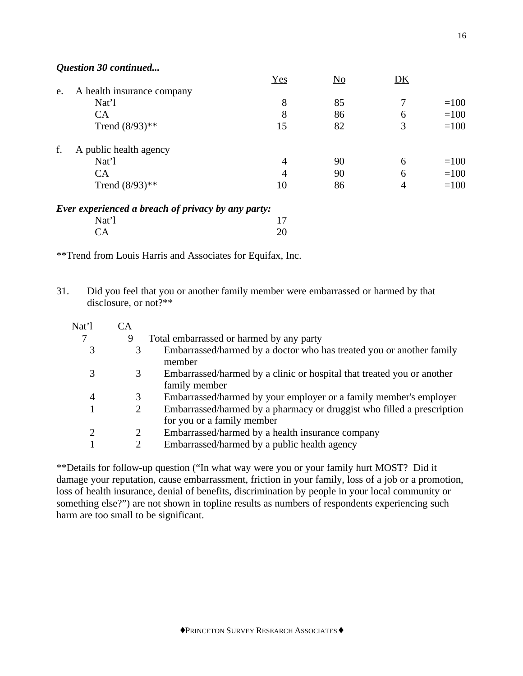*Question 30 continued...*

|    |                            | Yes | N <sub>0</sub> | DK |        |
|----|----------------------------|-----|----------------|----|--------|
| e. | A health insurance company |     |                |    |        |
|    | Nat'l                      | 8   | 85             |    | $=100$ |
|    | CA                         | 8   | 86             | 6  | $=100$ |
|    | Trend $(8/93)$ **          | 15  | 82             | 3  | $=100$ |
| f. | A public health agency     |     |                |    |        |
|    | Nat'l                      | 4   | 90             | 6  | $=100$ |
|    | CA                         | 4   | 90             | 6  | $=100$ |
|    | Trend $(8/93)$ **          | 10  | 86             | 4  | $=100$ |
|    |                            |     |                |    |        |

| Ever experienced a breach of privacy by any party: |    |
|----------------------------------------------------|----|
| Nat'l                                              |    |
| CA.                                                | 20 |

\*\*Trend from Louis Harris and Associates for Equifax, Inc.

31. Did you feel that you or another family member were embarrassed or harmed by that disclosure, or not?\*\*

| Nat'l | <u>CA</u> |                                                                                                      |
|-------|-----------|------------------------------------------------------------------------------------------------------|
|       | 9         | Total embarrassed or harmed by any party                                                             |
|       | 3         | Embarrassed/harmed by a doctor who has treated you or another family<br>member                       |
|       | 3         | Embarrassed/harmed by a clinic or hospital that treated you or another<br>family member              |
| 4     | 3         | Embarrassed/harmed by your employer or a family member's employer                                    |
|       | 2         | Embarrassed/harmed by a pharmacy or druggist who filled a prescription<br>for you or a family member |
|       | 2         | Embarrassed/harmed by a health insurance company                                                     |
|       | 2         | Embarrassed/harmed by a public health agency                                                         |
|       |           |                                                                                                      |

\*\*Details for follow-up question ("In what way were you or your family hurt MOST? Did it damage your reputation, cause embarrassment, friction in your family, loss of a job or a promotion, loss of health insurance, denial of benefits, discrimination by people in your local community or something else?") are not shown in topline results as numbers of respondents experiencing such harm are too small to be significant.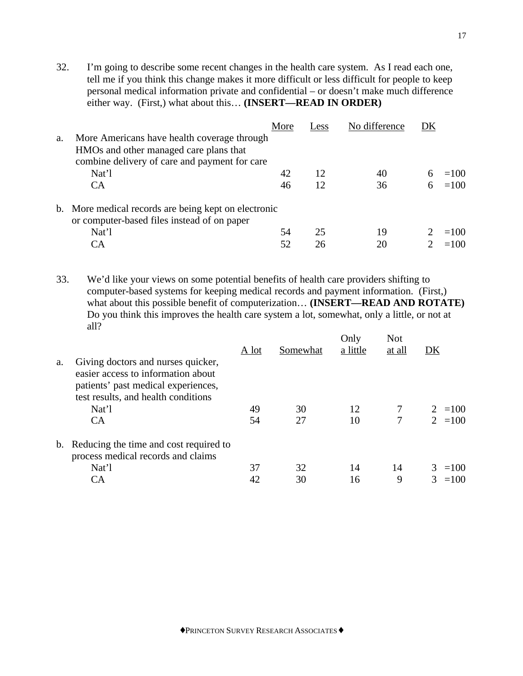32. I'm going to describe some recent changes in the health care system. As I read each one, tell me if you think this change makes it more difficult or less difficult for people to keep personal medical information private and confidential – or doesn't make much difference either way. (First,) what about this… **(INSERT—READ IN ORDER)**

|    |                                                                                                     | More | Less | No difference | DK |        |
|----|-----------------------------------------------------------------------------------------------------|------|------|---------------|----|--------|
| a. | More Americans have health coverage through                                                         |      |      |               |    |        |
|    | HMOs and other managed care plans that                                                              |      |      |               |    |        |
|    | combine delivery of care and payment for care                                                       |      |      |               |    |        |
|    | Nat'l                                                                                               | 42   | 12   | 40            |    | $=100$ |
|    | <b>CA</b>                                                                                           | 46   | 12   | 36            |    | $=100$ |
|    | b. More medical records are being kept on electronic<br>or computer-based files instead of on paper |      |      |               |    |        |
|    | Nat'l                                                                                               | 54   | 25   | 19            |    | $=100$ |
|    | CА                                                                                                  | 52   | 26   | 20            |    | $=100$ |
|    |                                                                                                     |      |      |               |    |        |

33. We'd like your views on some potential benefits of health care providers shifting to computer-based systems for keeping medical records and payment information. (First,) what about this possible benefit of computerization… **(INSERT—READ AND ROTATE)** Do you think this improves the health care system a lot, somewhat, only a little, or not at all?

|    |                                                                                                                                                        | A lot | Somewhat | Only<br>a little | <b>Not</b><br>at all | DK        |
|----|--------------------------------------------------------------------------------------------------------------------------------------------------------|-------|----------|------------------|----------------------|-----------|
| a. | Giving doctors and nurses quicker,<br>easier access to information about<br>patients' past medical experiences,<br>test results, and health conditions |       |          |                  |                      |           |
|    | Nat'l                                                                                                                                                  | 49    | 30       | 12               | 7                    | $2 = 100$ |
|    | <b>CA</b>                                                                                                                                              | 54    | 27       | 10               | 7                    | $2 = 100$ |
|    | b. Reducing the time and cost required to<br>process medical records and claims                                                                        |       |          |                  |                      |           |
|    | Nat'l                                                                                                                                                  | 37    | 32       | 14               | 14                   | $3 = 100$ |
|    | CA                                                                                                                                                     | 42    | 30       | 16               | 9                    | $=100$    |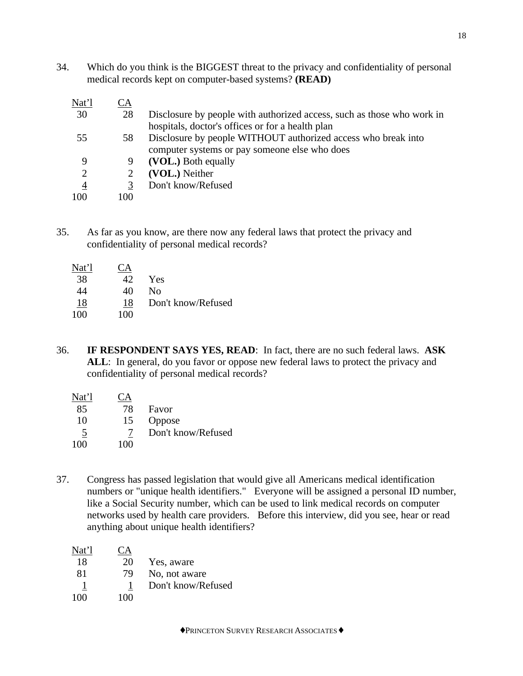34. Which do you think is the BIGGEST threat to the privacy and confidentiality of personal medical records kept on computer-based systems? **(READ)**

| <u>Nat'l</u>   | <u>CA</u> |                                                                        |
|----------------|-----------|------------------------------------------------------------------------|
| 30             | 28        | Disclosure by people with authorized access, such as those who work in |
|                |           | hospitals, doctor's offices or for a health plan                       |
| 55             | 58        | Disclosure by people WITHOUT authorized access who break into          |
|                |           | computer systems or pay someone else who does                          |
| 9              |           | (VOL.) Both equally                                                    |
| 2              |           | (VOL.) Neither                                                         |
| $\overline{4}$ |           | Don't know/Refused                                                     |
| 100            | 100       |                                                                        |
|                |           |                                                                        |

35. As far as you know, are there now any federal laws that protect the privacy and confidentiality of personal medical records?

| Nat'l | А   |                    |
|-------|-----|--------------------|
| 38    | 42  | Yes                |
| 44    | 40  | Nο                 |
| 18    | 18  | Don't know/Refused |
| 100   | 100 |                    |

36. **IF RESPONDENT SAYS YES, READ**: In fact, there are no such federal laws. **ASK** ALL: In general, do you favor or oppose new federal laws to protect the privacy and confidentiality of personal medical records?

| Nat'l          |     |                    |
|----------------|-----|--------------------|
| 85             | 78  | Favor              |
| 10             | 15  | Oppose             |
| $\overline{5}$ |     | Don't know/Refused |
| 100            | 100 |                    |

37. Congress has passed legislation that would give all Americans medical identification numbers or "unique health identifiers." Everyone will be assigned a personal ID number, like a Social Security number, which can be used to link medical records on computer networks used by health care providers. Before this interview, did you see, hear or read anything about unique health identifiers?

| Nat'l |     |                    |
|-------|-----|--------------------|
| 18    | 20  | Yes, aware         |
| 81    | 79  | No, not aware      |
|       |     | Don't know/Refused |
| 100   | 100 |                    |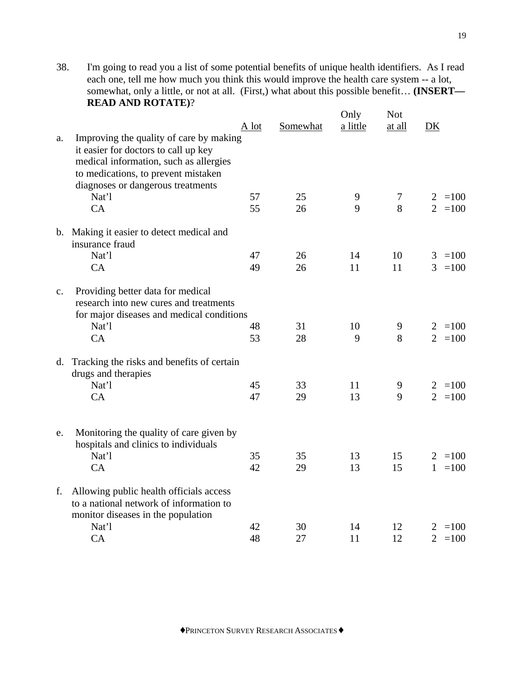38. I'm going to read you a list of some potential benefits of unique health identifiers. As I read each one, tell me how much you think this would improve the health care system -- a lot, somewhat, only a little, or not at all. (First,) what about this possible benefit… **(INSERT— READ AND ROTATE)**?

|                |                                                                                                                                                                  | A lot | Somewhat | Only<br>a little | <b>Not</b><br>at all | DK                       |
|----------------|------------------------------------------------------------------------------------------------------------------------------------------------------------------|-------|----------|------------------|----------------------|--------------------------|
| a.             | Improving the quality of care by making<br>it easier for doctors to call up key<br>medical information, such as allergies<br>to medications, to prevent mistaken |       |          |                  |                      |                          |
|                | diagnoses or dangerous treatments                                                                                                                                |       |          |                  |                      |                          |
|                | Nat'l                                                                                                                                                            | 57    | 25       | 9                | $\overline{7}$       | $2 = 100$                |
|                | CA                                                                                                                                                               | 55    | 26       | 9                | 8                    | $2 = 100$                |
|                | b. Making it easier to detect medical and<br>insurance fraud                                                                                                     |       |          |                  |                      |                          |
|                | Nat'l                                                                                                                                                            | 47    | 26       | 14               | 10                   | $=100$<br>3              |
|                | CA                                                                                                                                                               | 49    | 26       | 11               | 11                   | $3 = 100$                |
| $\mathbf{c}$ . | Providing better data for medical<br>research into new cures and treatments<br>for major diseases and medical conditions<br>Nat'l                                | 48    | 31       | 10               | 9                    | $2 = 100$                |
|                | CA                                                                                                                                                               | 53    | 28       | 9                | 8                    | $\overline{2}$<br>$=100$ |
| d.             | Tracking the risks and benefits of certain<br>drugs and therapies                                                                                                |       |          |                  |                      |                          |
|                | Nat'l                                                                                                                                                            | 45    | 33       | 11               | 9                    | $2 = 100$                |
|                | CA                                                                                                                                                               | 47    | 29       | 13               | 9                    | $\overline{2}$<br>$=100$ |
| e.             | Monitoring the quality of care given by<br>hospitals and clinics to individuals<br>Nat'l                                                                         | 35    | 35       | 13               | 15                   | $2 = 100$                |
|                | CA                                                                                                                                                               | 42    | 29       | 13               | 15                   | $=100$<br>$\mathbf{1}$   |
| f.             | Allowing public health officials access<br>to a national network of information to<br>monitor diseases in the population                                         |       |          |                  |                      |                          |
|                | Nat'l                                                                                                                                                            | 42    | 30       | 14               | 12                   | $2 = 100$                |
|                | CA                                                                                                                                                               | 48    | 27       | 11               | 12                   | $\overline{2}$<br>$=100$ |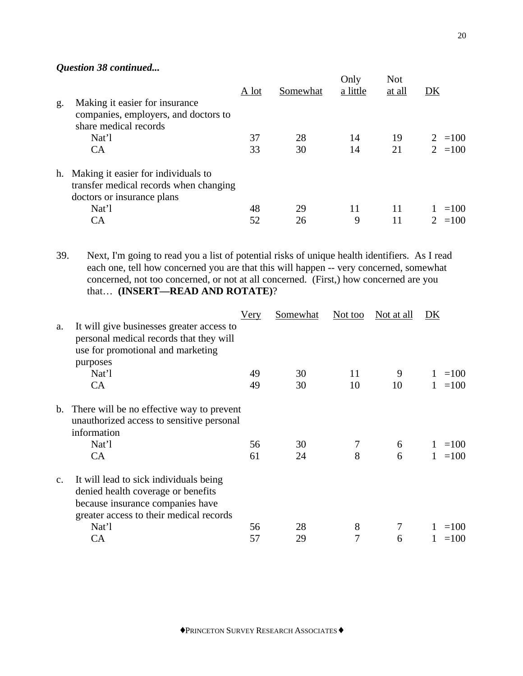# *Question 38 continued...*

|    |                                                                                                             | A lot | Somewhat | Only<br>a little | <b>Not</b><br>at all | DK                    |
|----|-------------------------------------------------------------------------------------------------------------|-------|----------|------------------|----------------------|-----------------------|
| g. | Making it easier for insurance<br>companies, employers, and doctors to<br>share medical records             |       |          |                  |                      |                       |
|    | Nat'l                                                                                                       | 37    | 28       | 14               | 19                   | $2 = 100$             |
|    | <b>CA</b>                                                                                                   | 33    | 30       | 14               | 21                   | $2 = 100$             |
| h. | Making it easier for individuals to<br>transfer medical records when changing<br>doctors or insurance plans |       |          |                  |                      |                       |
|    | Nat'l                                                                                                       | 48    | 29       | 11               | 11                   | $=100$                |
|    | СA                                                                                                          | 52    | 26       | 9                | 11                   | $=100$<br>$2^{\circ}$ |

39. Next, I'm going to read you a list of potential risks of unique health identifiers. As I read each one, tell how concerned you are that this will happen -- very concerned, somewhat concerned, not too concerned, or not at all concerned. (First,) how concerned are you that… **(INSERT—READ AND ROTATE)**?

|                |                                                                                                                                                             | Very     | Somewhat | Not too | Not at all | DK               |
|----------------|-------------------------------------------------------------------------------------------------------------------------------------------------------------|----------|----------|---------|------------|------------------|
| a.             | It will give businesses greater access to<br>personal medical records that they will<br>use for promotional and marketing                                   |          |          |         |            |                  |
|                | purposes<br>Nat'l                                                                                                                                           | 49       | 30       | 11      | 9          | $=100$           |
|                | CA                                                                                                                                                          | 49       | 30       | 10      | 10         | $=100$           |
| $b_{\cdot}$    | There will be no effective way to prevent<br>unauthorized access to sensitive personal<br>information<br>Nat'l<br>CA                                        | 56<br>61 | 30<br>24 | 7<br>8  | 6<br>6     | $=100$<br>$=100$ |
| $\mathbf{C}$ . | It will lead to sick individuals being<br>denied health coverage or benefits<br>because insurance companies have<br>greater access to their medical records |          |          |         |            |                  |
|                | Nat'l                                                                                                                                                       | 56       | 28       | 8       | 7          | $=100$           |
|                | <b>CA</b>                                                                                                                                                   | 57       | 29       | 7       | 6          | $=100$           |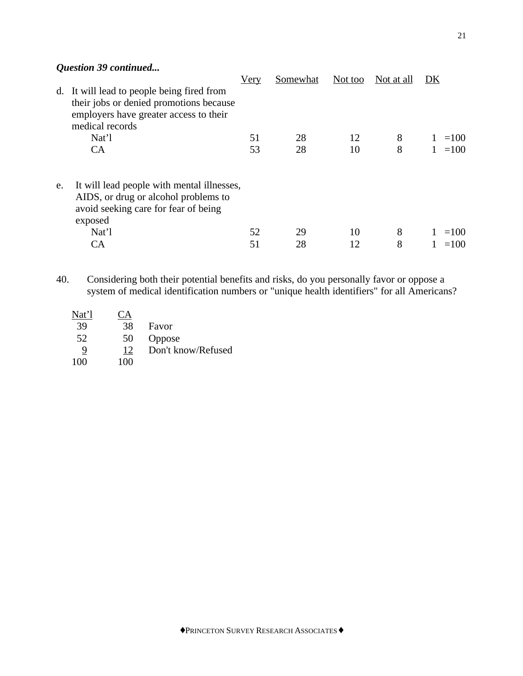# *Question 39 continued...*

|    |                                                                                                                                                 | Very | Somewhat | Not too | Not at all | DK     |
|----|-------------------------------------------------------------------------------------------------------------------------------------------------|------|----------|---------|------------|--------|
| d. | It will lead to people being fired from<br>their jobs or denied promotions because<br>employers have greater access to their<br>medical records |      |          |         |            |        |
|    | Nat'l                                                                                                                                           | 51   | 28       | 12      | 8          | $=100$ |
|    | CA                                                                                                                                              | 53   | 28       | 10      | 8          | $=100$ |
| e. | It will lead people with mental illnesses,<br>AIDS, or drug or alcohol problems to<br>avoid seeking care for fear of being<br>exposed           |      |          |         |            |        |
|    | Nat'l                                                                                                                                           | 52   | 29       | 10      | 8          | $=100$ |
|    | CA                                                                                                                                              | 51   | 28       | 12      | 8          | $=100$ |
|    |                                                                                                                                                 |      |          |         |            |        |

40. Considering both their potential benefits and risks, do you personally favor or oppose a system of medical identification numbers or "unique health identifiers" for all Americans?

| Nat'l | $\mathbf{A}$ |                    |
|-------|--------------|--------------------|
| 39    | 38           | Favor              |
| 52    | 50           | Oppose             |
| 9     | 12           | Don't know/Refused |
| 100   | 100          |                    |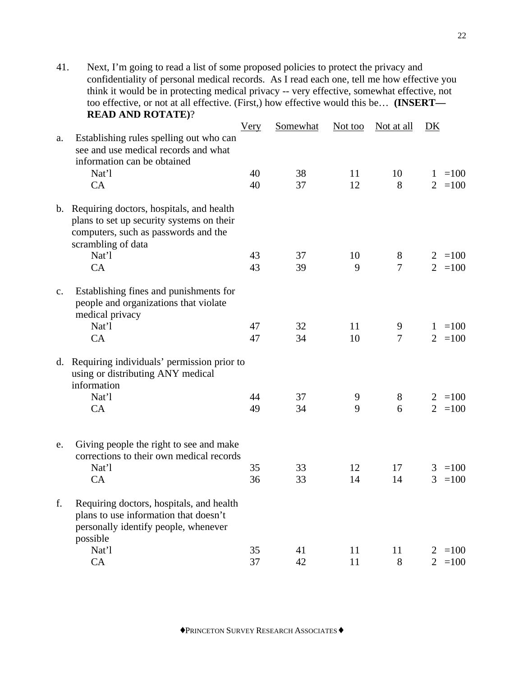41. Next, I'm going to read a list of some proposed policies to protect the privacy and confidentiality of personal medical records. As I read each one, tell me how effective you think it would be in protecting medical privacy -- very effective, somewhat effective, not too effective, or not at all effective. (First,) how effective would this be… **(INSERT— READ AND ROTATE)**?

|               |                                                                                                                                                        | <b>Very</b> | Somewhat | Not too  | Not at all     | DK                                      |
|---------------|--------------------------------------------------------------------------------------------------------------------------------------------------------|-------------|----------|----------|----------------|-----------------------------------------|
| a.            | Establishing rules spelling out who can<br>see and use medical records and what<br>information can be obtained                                         |             |          |          |                |                                         |
|               | Nat'l                                                                                                                                                  | 40          | 38       | 11       | 10             | $=100$<br>1                             |
|               | CA                                                                                                                                                     | 40          | 37       | 12       | 8              | $2 = 100$                               |
|               | b. Requiring doctors, hospitals, and health<br>plans to set up security systems on their<br>computers, such as passwords and the<br>scrambling of data |             |          |          |                |                                         |
|               | Nat'l                                                                                                                                                  | 43          | 37       | 10       | 8              | $2 = 100$                               |
|               | CA                                                                                                                                                     | 43          | 39       | 9        | $\overline{7}$ | $2 = 100$                               |
| $C_{\bullet}$ | Establishing fines and punishments for<br>people and organizations that violate<br>medical privacy                                                     |             |          |          |                |                                         |
|               | Nat'l                                                                                                                                                  | 47          | 32       | 11       | 9              | $=100$<br>$\mathbf{1}$                  |
|               | CA                                                                                                                                                     | 47          | 34       | 10       | $\tau$         | $2 = 100$                               |
|               | d. Requiring individuals' permission prior to<br>using or distributing ANY medical<br>information                                                      |             |          |          |                |                                         |
|               | Nat'l                                                                                                                                                  | 44          | 37       | 9        | $8\,$          | $\overline{2}$<br>$=100$                |
|               | CA                                                                                                                                                     | 49          | 34       | 9        | 6              | $\overline{2}$<br>$=100$                |
| e.            | Giving people the right to see and make<br>corrections to their own medical records<br>Nat'l<br>CA                                                     | 35<br>36    | 33<br>33 | 12<br>14 | 17<br>14       | $=100$<br>3<br>$\overline{3}$<br>$=100$ |
| f.            | Requiring doctors, hospitals, and health<br>plans to use information that doesn't<br>personally identify people, whenever<br>possible                  |             |          |          |                |                                         |
|               | Nat'l                                                                                                                                                  | 35          | 41       | 11       | 11             | $2 = 100$                               |
|               | CA                                                                                                                                                     | 37          | 42       | 11       | 8              | $\overline{2}$<br>$=100$                |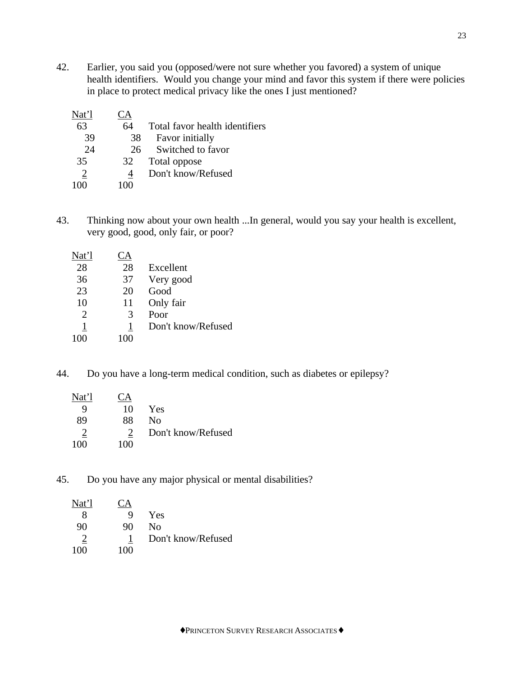42. Earlier, you said you (opposed/were not sure whether you favored) a system of unique health identifiers. Would you change your mind and favor this system if there were policies in place to protect medical privacy like the ones I just mentioned?

| Nat'l | $A^{\cdot}$ |                                |
|-------|-------------|--------------------------------|
| 63    | 64          | Total favor health identifiers |
| 39    | 38          | Favor initially                |
| 24    | 26          | Switched to favor              |
| 35    | 32          | Total oppose                   |
|       |             | Don't know/Refused             |
|       |             |                                |

43. Thinking now about your own health ...In general, would you say your health is excellent, very good, good, only fair, or poor?

| Ά  |                    |
|----|--------------------|
| 28 | Excellent          |
| 37 | Very good          |
| 20 | Good               |
| 11 | Only fair          |
| 3  | Poor               |
| 1  | Don't know/Refused |
|    |                    |
|    |                    |

44. Do you have a long-term medical condition, such as diabetes or epilepsy?

| Nat'l | $\mathsf{T}\mathsf{A}$ |                    |
|-------|------------------------|--------------------|
| Q     | 10                     | Yes                |
| 89    | 88                     | Nο                 |
| 2     |                        | Don't know/Refused |
| 100   | 100                    |                    |

45. Do you have any major physical or mental disabilities?

| Nat'l | $\mathcal{A}$ |                    |
|-------|---------------|--------------------|
|       | Q             | Yes                |
| 90    | 90            | Nο                 |
|       |               | Don't know/Refused |
| 100   | 100           |                    |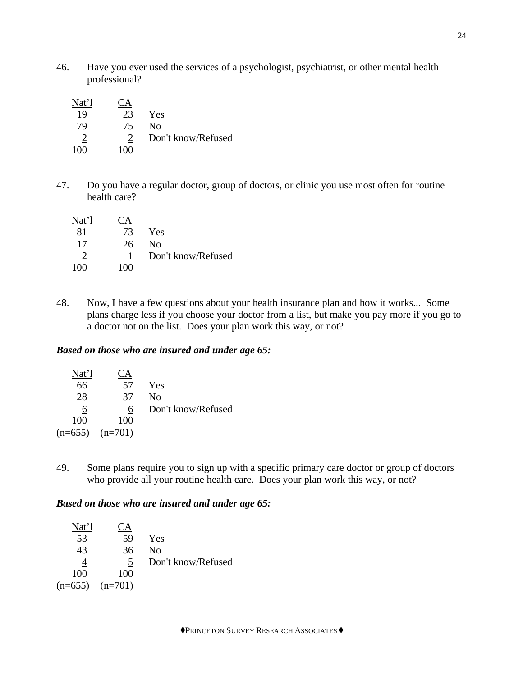46. Have you ever used the services of a psychologist, psychiatrist, or other mental health professional?

| Nat'l          | <u>A</u> |                    |
|----------------|----------|--------------------|
| 19             | 23       | Yes                |
| 79             | 75       | No.                |
| $\overline{2}$ |          | Don't know/Refused |
| 100            | 100      |                    |

47. Do you have a regular doctor, group of doctors, or clinic you use most often for routine health care?

| Nat'l | $\Box A$ |                    |
|-------|----------|--------------------|
| -81   | 73       | Yes                |
| 17    | 26.      | No                 |
| 2     |          | Don't know/Refused |
| 100   | 100      |                    |

48. Now, I have a few questions about your health insurance plan and how it works... Some plans charge less if you choose your doctor from a list, but make you pay more if you go to a doctor not on the list. Does your plan work this way, or not?

# *Based on those who are insured and under age 65:*

| Nat'l | CА                  |                    |
|-------|---------------------|--------------------|
| 66    | 57                  | Yes                |
| 28    | 37                  | Nο                 |
| 6     | 6                   | Don't know/Refused |
| 100   | 100                 |                    |
|       | $(n=655)$ $(n=701)$ |                    |

49. Some plans require you to sign up with a specific primary care doctor or group of doctors who provide all your routine health care. Does your plan work this way, or not?

# *Based on those who are insured and under age 65:*

| Nat'l | А                   |                    |
|-------|---------------------|--------------------|
| 53    | 59                  | <b>Yes</b>         |
| 43    | 36                  | No                 |
|       | 5                   | Don't know/Refused |
| 100   | 100                 |                    |
|       | $(n=655)$ $(n=701)$ |                    |
|       |                     |                    |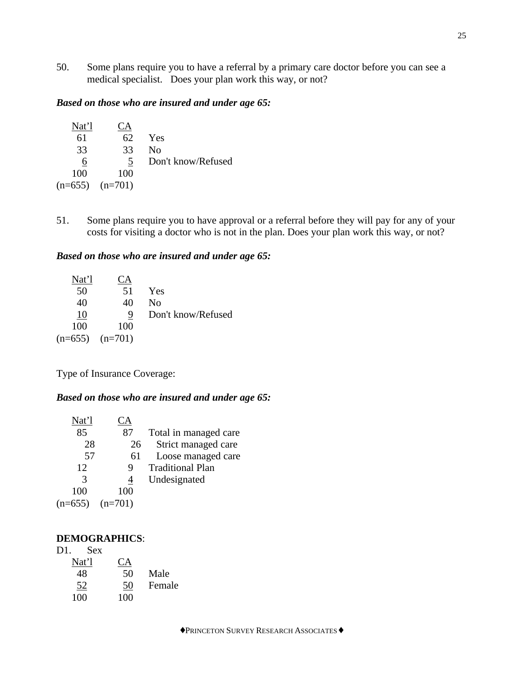50. Some plans require you to have a referral by a primary care doctor before you can see a medical specialist. Does your plan work this way, or not?

# *Based on those who are insured and under age 65:*

| Nat'l | CΑ                  |                    |
|-------|---------------------|--------------------|
| 61    | 62                  | Yes                |
| 33    | 33                  | No                 |
| 6     | $\mathcal{L}$       | Don't know/Refused |
| 100   | 100                 |                    |
|       | $(n=655)$ $(n=701)$ |                    |
|       |                     |                    |

51. Some plans require you to have approval or a referral before they will pay for any of your costs for visiting a doctor who is not in the plan. Does your plan work this way, or not?

## *Based on those who are insured and under age 65:*

| Nat'l               | Ά   |                    |
|---------------------|-----|--------------------|
| 50                  | 51  | Yes                |
| 40                  | 40  | No                 |
| 10                  | 9   | Don't know/Refused |
| 100                 | 100 |                    |
| $(n=655)$ $(n=701)$ |     |                    |

Type of Insurance Coverage:

## *Based on those who are insured and under age 65:*

| Nat'l     | А         |                         |
|-----------|-----------|-------------------------|
| 85        | 87        | Total in managed care   |
| 28        | 26        | Strict managed care     |
| 57        | 61        | Loose managed care      |
| 12        | 9         | <b>Traditional Plan</b> |
| 3         | 4         | Undesignated            |
| 100       | 100       |                         |
| $(n=655)$ | $(n=701)$ |                         |

## **DEMOGRAPHICS**:

| D1. | <b>Sex</b> |     |        |
|-----|------------|-----|--------|
|     | Nat'l      | CА  |        |
|     | 48         | 50  | Male   |
|     | 52         | 50  | Female |
|     | 100        | 100 |        |
|     |            |     |        |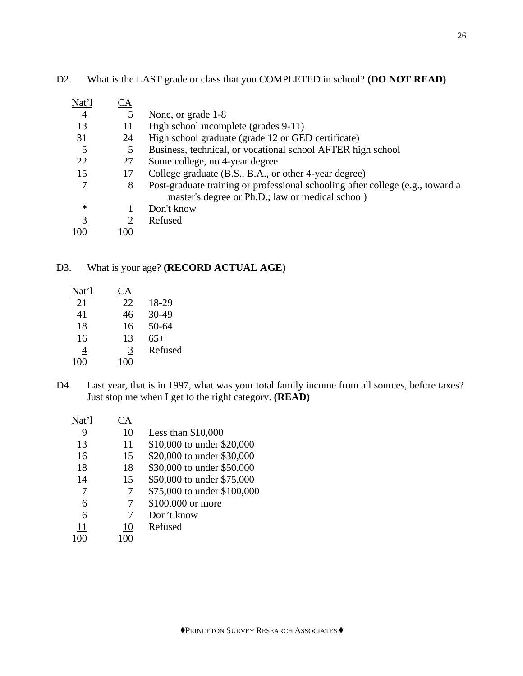| Nat'l          | CА  |                                                                                |
|----------------|-----|--------------------------------------------------------------------------------|
| 4              | 5   | None, or grade 1-8                                                             |
| 13             | 11  | High school incomplete (grades 9-11)                                           |
| 31             | 24  | High school graduate (grade 12 or GED certificate)                             |
| 5              | 5   | Business, technical, or vocational school AFTER high school                    |
| 22             | 27  | Some college, no 4-year degree                                                 |
| 15             | 17  | College graduate (B.S., B.A., or other 4-year degree)                          |
| 7              | 8   | Post-graduate training or professional schooling after college (e.g., toward a |
|                |     | master's degree or Ph.D.; law or medical school)                               |
| $\ast$         |     | Don't know                                                                     |
| $\overline{3}$ |     | Refused                                                                        |
| 100            | 100 |                                                                                |

D2. What is the LAST grade or class that you COMPLETED in school? **(DO NOT READ)**

# D3. What is your age? **(RECORD ACTUAL AGE)**

| Nat'l | СA  |         |
|-------|-----|---------|
| 21    | 22  | 18-29   |
| 41    | 46  | 30-49   |
| 18    | 16  | 50-64   |
| 16    | 13  | $65+$   |
| 4     | 3   | Refused |
| 100   | 100 |         |

D4. Last year, that is in 1997, what was your total family income from all sources, before taxes? Just stop me when I get to the right category. **(READ)**

| 9  | 10  | Less than $$10,000$         |
|----|-----|-----------------------------|
| 13 | 11  | \$10,000 to under \$20,000  |
| 16 | 15  | \$20,000 to under \$30,000  |
| 18 | 18  | \$30,000 to under \$50,000  |
| 14 | 15  | \$50,000 to under \$75,000  |
|    | 7   | \$75,000 to under \$100,000 |
| 6  |     | \$100,000 or more           |
| 6  | 7   | Don't know                  |
| 11 | 10  | Refused                     |
|    | 100 |                             |